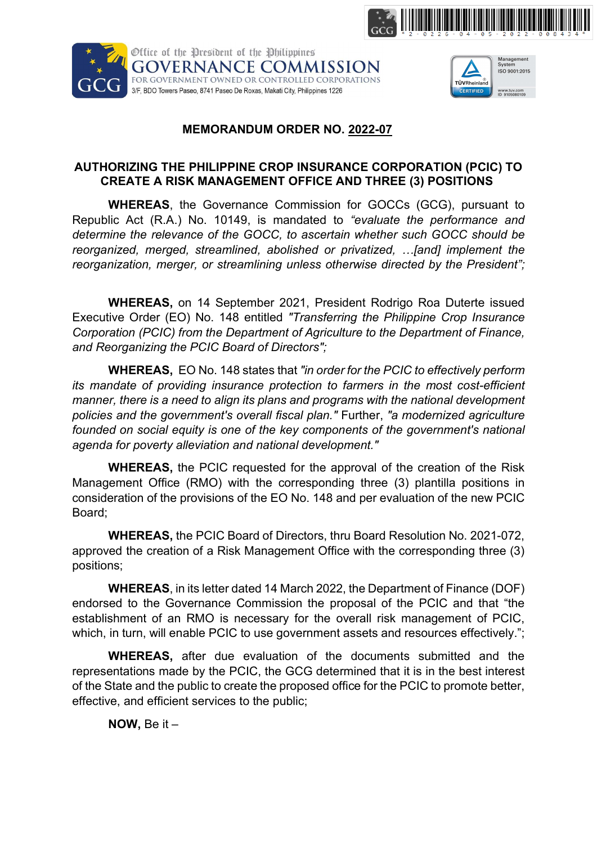





## MEMORANDUM ORDER NO. 2022-07

## AUTHORIZING THE PHILIPPINE CROP INSURANCE CORPORATION (PCIC) TO CREATE A RISK MANAGEMENT OFFICE AND THREE (3) POSITIONS

WHEREAS, the Governance Commission for GOCCs (GCG), pursuant to Republic Act (R.A.) No. 10149, is mandated to "evaluate the performance and determine the relevance of the GOCC, to ascertain whether such GOCC should be reorganized, merged, streamlined, abolished or privatized, …[and] implement the reorganization, merger, or streamlining unless otherwise directed by the President";

WHEREAS, on 14 September 2021, President Rodrigo Roa Duterte issued Executive Order (EO) No. 148 entitled "Transferring the Philippine Crop Insurance Corporation (PCIC) from the Department of Agriculture to the Department of Finance, and Reorganizing the PCIC Board of Directors";

WHEREAS, EO No. 148 states that "in order for the PCIC to effectively perform its mandate of providing insurance protection to farmers in the most cost-efficient manner, there is a need to align its plans and programs with the national development policies and the government's overall fiscal plan." Further, "a modernized agriculture founded on social equity is one of the key components of the government's national agenda for poverty alleviation and national development."

WHEREAS, the PCIC requested for the approval of the creation of the Risk Management Office (RMO) with the corresponding three (3) plantilla positions in consideration of the provisions of the EO No. 148 and per evaluation of the new PCIC Board;

WHEREAS, the PCIC Board of Directors, thru Board Resolution No. 2021-072, approved the creation of a Risk Management Office with the corresponding three (3) positions;

WHEREAS, in its letter dated 14 March 2022, the Department of Finance (DOF) endorsed to the Governance Commission the proposal of the PCIC and that "the establishment of an RMO is necessary for the overall risk management of PCIC, which, in turn, will enable PCIC to use government assets and resources effectively.";

WHEREAS, after due evaluation of the documents submitted and the representations made by the PCIC, the GCG determined that it is in the best interest of the State and the public to create the proposed office for the PCIC to promote better, effective, and efficient services to the public;

NOW, Be it –